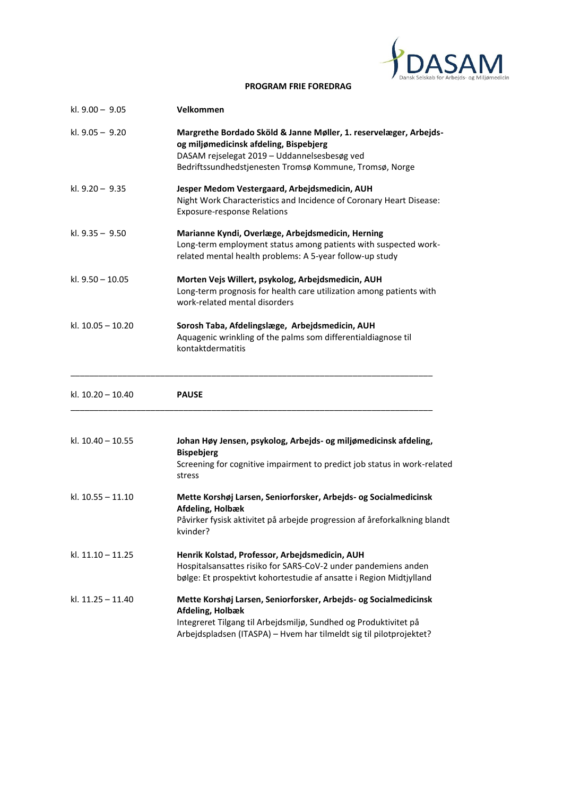

#### **PROGRAM FRIE FOREDRAG**

| kl. 9.00 - 9.05     | Velkommen                                                                                                                                                                                                              |
|---------------------|------------------------------------------------------------------------------------------------------------------------------------------------------------------------------------------------------------------------|
| kl. 9.05 - 9.20     | Margrethe Bordado Sköld & Janne Møller, 1. reservelæger, Arbejds-<br>og miljømedicinsk afdeling, Bispebjerg<br>DASAM rejselegat 2019 - Uddannelsesbesøg ved<br>Bedriftssundhedstjenesten Tromsø Kommune, Tromsø, Norge |
| kl. 9.20 - 9.35     | Jesper Medom Vestergaard, Arbejdsmedicin, AUH<br>Night Work Characteristics and Incidence of Coronary Heart Disease:<br><b>Exposure-response Relations</b>                                                             |
| kl. $9.35 - 9.50$   | Marianne Kyndi, Overlæge, Arbejdsmedicin, Herning<br>Long-term employment status among patients with suspected work-<br>related mental health problems: A 5-year follow-up study                                       |
| kl. 9.50 - 10.05    | Morten Vejs Willert, psykolog, Arbejdsmedicin, AUH<br>Long-term prognosis for health care utilization among patients with<br>work-related mental disorders                                                             |
| kl. 10.05 - 10.20   | Sorosh Taba, Afdelingslæge, Arbejdsmedicin, AUH<br>Aquagenic wrinkling of the palms som differentialdiagnose til<br>kontaktdermatitis                                                                                  |
|                     |                                                                                                                                                                                                                        |
| kl. 10.20 - 10.40   | <b>PAUSE</b>                                                                                                                                                                                                           |
| kl. $10.40 - 10.55$ | Johan Høy Jensen, psykolog, Arbejds- og miljømedicinsk afdeling,<br><b>Bispebjerg</b><br>Screening for cognitive impairment to predict job status in work-related<br>stress                                            |
| kl. 10.55 - 11.10   | Mette Korshøj Larsen, Seniorforsker, Arbejds- og Socialmedicinsk<br>Afdeling, Holbæk<br>Påvirker fysisk aktivitet på arbejde progression af åreforkalkning blandt<br>kvinder?                                          |
| kl. 11.10 - 11.25   | Henrik Kolstad, Professor, Arbejdsmedicin, AUH<br>Hospitalsansattes risiko for SARS-CoV-2 under pandemiens anden<br>bølge: Et prospektivt kohortestudie af ansatte i Region Midtjylland                                |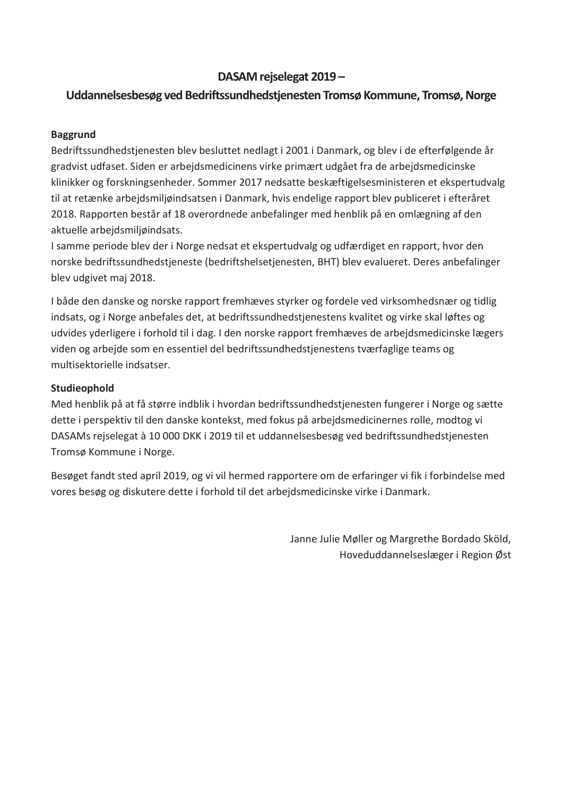## DASAM rejselegat 2019 –

## Uddannelsesbesøg ved Bedriftssundhedstjenesten Tromsø Kommune, Tromsø, Norge

#### Baggrund

Bedriftssundhedstjenesten blev besluttet nedlagt i 2001 i Danmark, og blev i de efterfølgende år gradvist udfaset. Siden er arbejdsmedicinens virke primært udgået fra de arbejdsmedicinske klinikker og forskningsenheder. Sommer 2017 nedsatte beskæftigelsesministeren et ekspertudvalg til at retænke arbejdsmiljøindsatsen i Danmark, hvis endelige rapport blev publiceret i efteråret 2018. Rapporten består af 18 overordnede anbefalinger med henblik på en omlægning af den aktuelle arbejdsmiljøindsats.

I samme periode blev der i Norge nedsat et ekspertudvalg og udfærdiget en rapport, hvor den norske bedriftssundhedstjeneste (bedriftshelsetjenesten, BHT) blev evalueret. Deres anbefalinger blev udgivet maj 2018.

I både den danske og norske rapport fremhæves styrker og fordele ved virksomhedsnær og tidlig indsats, og i Norge anbefales det, at bedriftssundhedstjenestens kvalitet og virke skal løftes og udvides yderligere i forhold til i dag. I den norske rapport fremhæves de arbejdsmedicinske lægers viden og arbejde som en essentiel del bedriftssundhedstjenestens tværfaglige teams og multisektorielle indsatser.

#### Studieophold

Med henblik på at få større indblik i hvordan bedriftssundhedstjenesten fungerer i Norge og sætte dette i perspektiv til den danske kontekst, med fokus på arbejdsmedicinernes rolle, modtog vi DASAMs rejselegat à 10 000 DKK i 2019 til et uddannelsesbesøg ved bedriftssundhedstjenesten Tromsø Kommune i Norge.

Besøget fandt sted april 2019, og vi vil hermed rapportere om de erfaringer vi fik i forbindelse med vores besøg og diskutere dette i forhold til det arbejdsmedicinske virke i Danmark.

> Janne Julie Møller og Margrethe Bordado Sköld, Hoveduddannelseslæger i Region Øst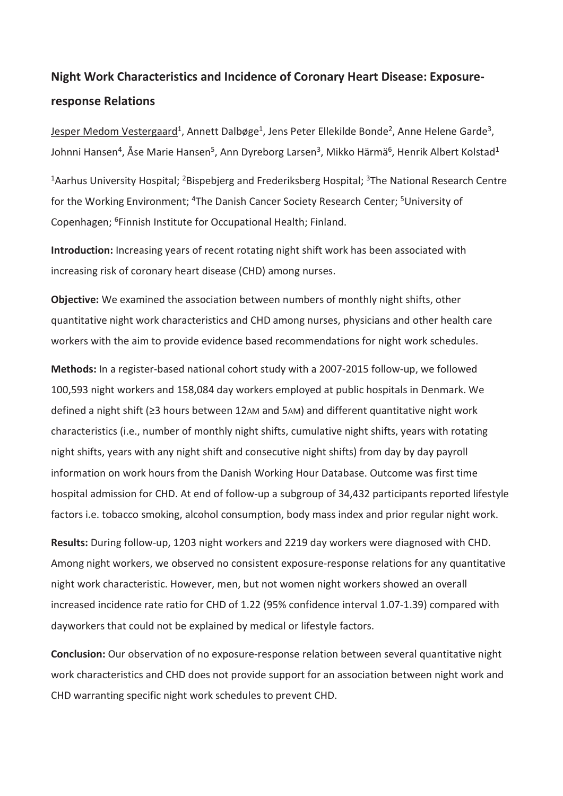# Night Work Characteristics and Incidence of Coronary Heart Disease: Exposureresponse Relations

Jesper Medom Vestergaard<sup>1</sup>, Annett Dalbøge<sup>1</sup>, Jens Peter Ellekilde Bonde<sup>2</sup>, Anne Helene Garde<sup>3</sup>, Johnni Hansen<sup>4</sup>, Åse Marie Hansen<sup>5</sup>, Ann Dyreborg Larsen<sup>3</sup>, Mikko Härmä<sup>6</sup>, Henrik Albert Kolstad<sup>1</sup>

<sup>1</sup> Aarhus University Hospital; <sup>2</sup> Bispebjerg and Frederiksberg Hospital; <sup>3</sup> The National Research Centre for the Working Environment; <sup>4</sup>The Danish Cancer Society Research Center; <sup>5</sup>University of Copenhagen; <sup>6</sup>Finnish Institute for Occupational Health; Finland.

Introduction: Increasing years of recent rotating night shift work has been associated with increasing risk of coronary heart disease (CHD) among nurses.

Objective: We examined the association between numbers of monthly night shifts, other quantitative night work characteristics and CHD among nurses, physicians and other health care workers with the aim to provide evidence based recommendations for night work schedules.

Methods: In a register-based national cohort study with a 2007-2015 follow-up, we followed 100,593 night workers and 158,084 day workers employed at public hospitals in Denmark. We defined a night shift ( $\geq$ 3 hours between 12AM and 5AM) and different quantitative night work characteristics (i.e., number of monthly night shifts, cumulative night shifts, years with rotating night shifts, years with any night shift and consecutive night shifts) from day by day payroll information on work hours from the Danish Working Hour Database. Outcome was first time hospital admission for CHD. At end of follow-up a subgroup of 34,432 participants reported lifestyle factors i.e. tobacco smoking, alcohol consumption, body mass index and prior regular night work.

Results: During follow-up, 1203 night workers and 2219 day workers were diagnosed with CHD. Among night workers, we observed no consistent exposure-response relations for any quantitative night work characteristic. However, men, but not women night workers showed an overall increased incidence rate ratio for CHD of 1.22 (95% confidence interval 1.07-1.39) compared with dayworkers that could not be explained by medical or lifestyle factors.

Conclusion: Our observation of no exposure-response relation between several quantitative night work characteristics and CHD does not provide support for an association between night work and CHD warranting specific night work schedules to prevent CHD.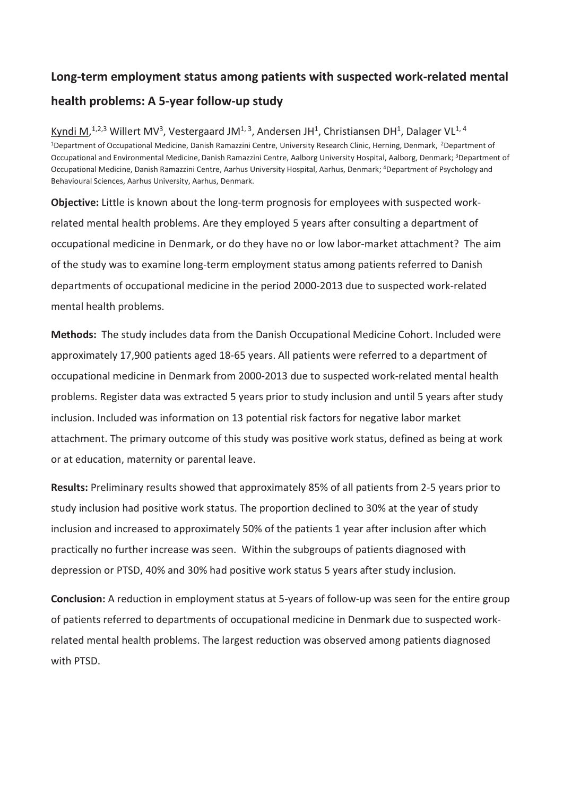# Long-term employment status among patients with suspected work-related mental health problems: A 5-year follow-up study

Kyndi M,<sup>1,2,3</sup> Willert MV<sup>3</sup>, Vestergaard JM<sup>1, 3</sup>, Andersen JH<sup>1</sup>, Christiansen DH<sup>1</sup>, Dalager VL<sup>1, 4</sup> <sup>1</sup>Department of Occupational Medicine, Danish Ramazzini Centre, University Research Clinic, Herning, Denmark, <sup>2</sup>Department of Occupational and Environmental Medicine, Danish Ramazzini Centre, Aalborg University Hospital, Aalborg, Denmark; <sup>3</sup>Department of Occupational Medicine, Danish Ramazzini Centre, Aarhus University Hospital, Aarhus, Denmark; <sup>4</sup>Department of Psychology and Behavioural Sciences, Aarhus University, Aarhus, Denmark.

Objective: Little is known about the long-term prognosis for employees with suspected workrelated mental health problems. Are they employed 5 years after consulting a department of occupational medicine in Denmark, or do they have no or low labor-market attachment? The aim of the study was to examine long-term employment status among patients referred to Danish departments of occupational medicine in the period 2000-2013 due to suspected work-related mental health problems.

Methods: The study includes data from the Danish Occupational Medicine Cohort. Included were approximately 17,900 patients aged 18-65 years. All patients were referred to a department of occupational medicine in Denmark from 2000-2013 due to suspected work-related mental health problems. Register data was extracted 5 years prior to study inclusion and until 5 years after study inclusion. Included was information on 13 potential risk factors for negative labor market attachment. The primary outcome of this study was positive work status, defined as being at work or at education, maternity or parental leave.

Results: Preliminary results showed that approximately 85% of all patients from 2-5 years prior to study inclusion had positive work status. The proportion declined to 30% at the year of study inclusion and increased to approximately 50% of the patients 1 year after inclusion after which practically no further increase was seen. Within the subgroups of patients diagnosed with depression or PTSD, 40% and 30% had positive work status 5 years after study inclusion.

Conclusion: A reduction in employment status at 5-years of follow-up was seen for the entire group of patients referred to departments of occupational medicine in Denmark due to suspected workrelated mental health problems. The largest reduction was observed among patients diagnosed with PTSD.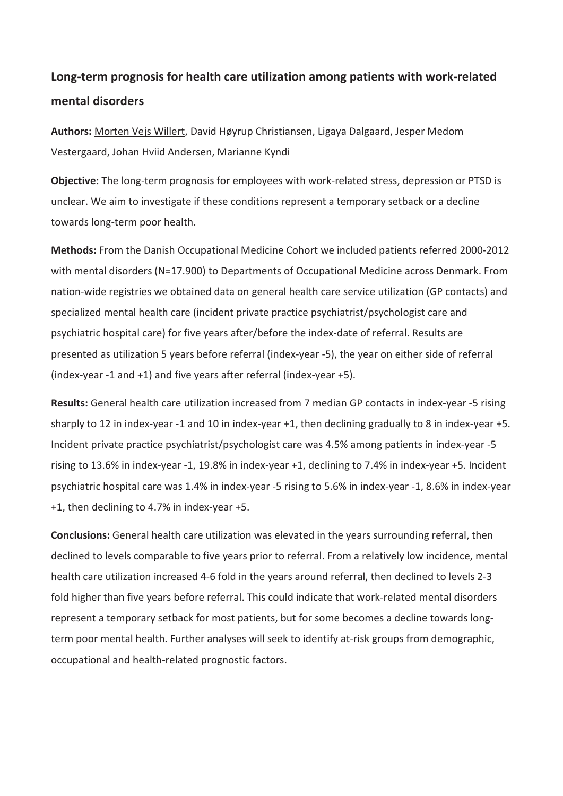# Long-term prognosis for health care utilization among patients with work-related mental disorders

Authors: Morten Vejs Willert, David Høyrup Christiansen, Ligaya Dalgaard, Jesper Medom Vestergaard, Johan Hviid Andersen, Marianne Kyndi

Objective: The long-term prognosis for employees with work-related stress, depression or PTSD is unclear. We aim to investigate if these conditions represent a temporary setback or a decline towards long-term poor health.

Methods: From the Danish Occupational Medicine Cohort we included patients referred 2000-2012 with mental disorders (N=17.900) to Departments of Occupational Medicine across Denmark. From nation-wide registries we obtained data on general health care service utilization (GP contacts) and specialized mental health care (incident private practice psychiatrist/psychologist care and psychiatric hospital care) for five years after/before the index-date of referral. Results are presented as utilization 5 years before referral (index-year -5), the year on either side of referral (index-year -1 and +1) and five years after referral (index-year +5).

Results: General health care utilization increased from 7 median GP contacts in index-year -5 rising sharply to 12 in index-year -1 and 10 in index-year +1, then declining gradually to 8 in index-year +5. Incident private practice psychiatrist/psychologist care was 4.5% among patients in index-year -5 rising to 13.6% in index-year -1, 19.8% in index-year +1, declining to 7.4% in index-year +5. Incident psychiatric hospital care was 1.4% in index-year -5 rising to 5.6% in index-year -1, 8.6% in index-year +1, then declining to 4.7% in index-year +5.

Conclusions: General health care utilization was elevated in the years surrounding referral, then declined to levels comparable to five years prior to referral. From a relatively low incidence, mental health care utilization increased 4-6 fold in the years around referral, then declined to levels 2-3 fold higher than five years before referral. This could indicate that work-related mental disorders represent a temporary setback for most patients, but for some becomes a decline towards longterm poor mental health. Further analyses will seek to identify at-risk groups from demographic, occupational and health-related prognostic factors.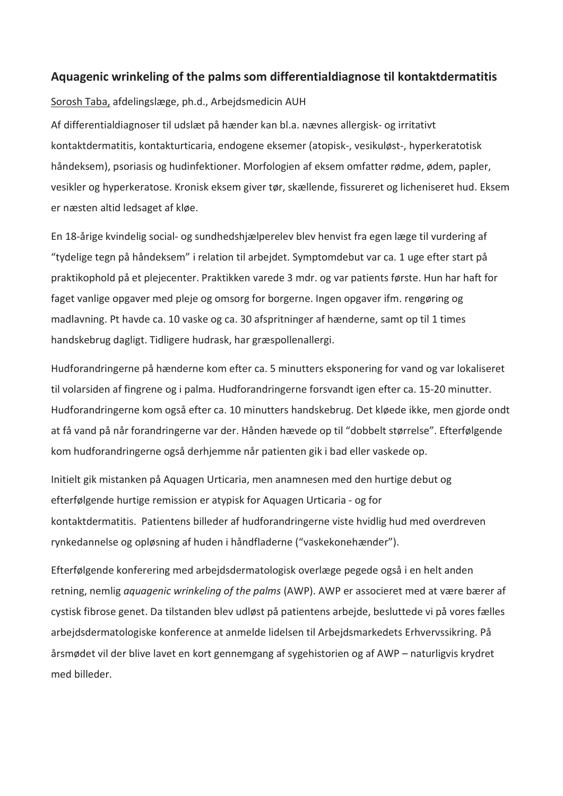#### Aquagenic wrinkeling of the palms som differentialdiagnose til kontaktdermatitis

#### Sorosh Taba, afdelingslæge, ph.d., Arbejdsmedicin AUH

Af differentialdiagnoser til udslæt på hænder kan bl.a. nævnes allergisk- og irritativt kontaktdermatitis, kontakturticaria, endogene eksemer (atopisk-, vesikuløst-, hyperkeratotisk håndeksem), psoriasis og hudinfektioner. Morfologien af eksem omfatter rødme, ødem, papler, vesikler og hyperkeratose. Kronisk eksem giver tør, skællende, fissureret og licheniseret hud. Eksem er næsten altid ledsaget af kløe.

En 18-årige kvindelig social- og sundhedshjælperelev blev henvist fra egen læge til vurdering af "tydelige tegn på håndeksem" i relation til arbejdet. Symptomdebut var ca. 1 uge efter start på praktikophold på et plejecenter. Praktikken varede 3 mdr. og var patients første. Hun har haft for faget vanlige opgaver med pleje og omsorg for borgerne. Ingen opgaver ifm. rengøring og madlavning. Pt havde ca. 10 vaske og ca. 30 afspritninger af hænderne, samt op til 1 times handskebrug dagligt. Tidligere hudrask, har græspollenallergi.

Hudforandringerne på hænderne kom efter ca. 5 minutters eksponering for vand og var lokaliseret til volarsiden af fingrene og i palma. Hudforandringerne forsvandt igen efter ca. 15-20 minutter. Hudforandringerne kom også efter ca. 10 minutters handskebrug. Det kløede ikke, men gjorde ondt at få vand på når forandringerne var der. Hånden hævede op til "dobbelt størrelse". Efterfølgende kom hudforandringerne også derhjemme når patienten gik i bad eller vaskede op.

Initielt gik mistanken på Aquagen Urticaria, men anamnesen med den hurtige debut og efterfølgende hurtige remission er atypisk for Aquagen Urticaria - og for kontaktdermatitis. Patientens billeder af hudforandringerne viste hvidlig hud med overdreven rynkedannelse og opløsning af huden i håndfladerne ("vaskekonehænder").

Efterfølgende konferering med arbejdsdermatologisk overlæge pegede også i en helt anden retning, nemlig aquagenic wrinkeling of the palms (AWP). AWP er associeret med at være bærer af cystisk fibrose genet. Da tilstanden blev udløst på patientens arbejde, besluttede vi på vores fælles arbejdsdermatologiske konference at anmelde lidelsen til Arbejdsmarkedets Erhvervssikring. På årsmødet vil der blive lavet en kort gennemgang af sygehistorien og af AWP – naturligvis krydret med billeder.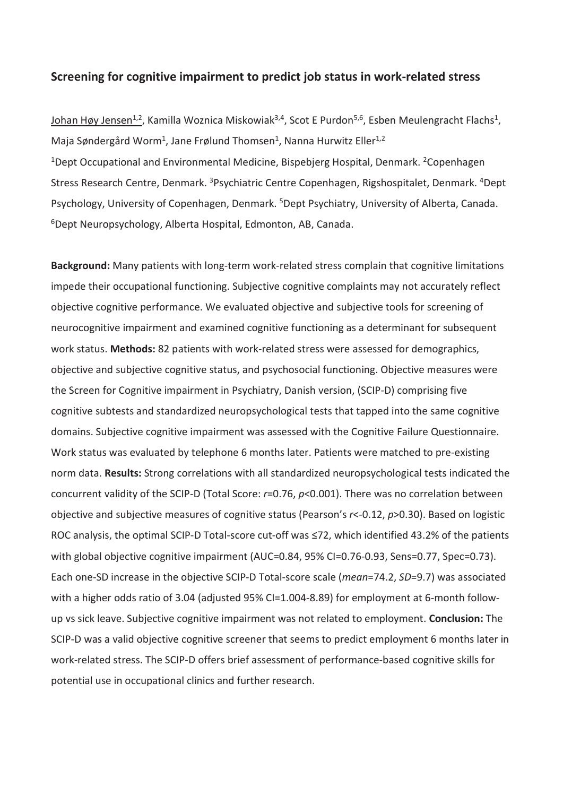#### Screening for cognitive impairment to predict job status in work-related stress

Johan Høy Jensen<sup>1,2</sup>, Kamilla Woznica Miskowiak<sup>3,4</sup>, Scot E Purdon<sup>5,6</sup>, Esben Meulengracht Flachs<sup>1</sup>, Maja Søndergård Worm<sup>1</sup>, Jane Frølund Thomsen<sup>1</sup>, Nanna Hurwitz Eller<sup>1,2</sup> <sup>1</sup>Dept Occupational and Environmental Medicine, Bispebjerg Hospital, Denmark. <sup>2</sup>Copenhagen Stress Research Centre, Denmark. <sup>3</sup>Psychiatric Centre Copenhagen, Rigshospitalet, Denmark. <sup>4</sup>Dept Psychology, University of Copenhagen, Denmark. <sup>5</sup>Dept Psychiatry, University of Alberta, Canada. <sup>6</sup>Dept Neuropsychology, Alberta Hospital, Edmonton, AB, Canada.

Background: Many patients with long-term work-related stress complain that cognitive limitations impede their occupational functioning. Subjective cognitive complaints may not accurately reflect objective cognitive performance. We evaluated objective and subjective tools for screening of neurocognitive impairment and examined cognitive functioning as a determinant for subsequent work status. Methods: 82 patients with work-related stress were assessed for demographics, objective and subjective cognitive status, and psychosocial functioning. Objective measures were the Screen for Cognitive impairment in Psychiatry, Danish version, (SCIP-D) comprising five cognitive subtests and standardized neuropsychological tests that tapped into the same cognitive domains. Subjective cognitive impairment was assessed with the Cognitive Failure Questionnaire. Work status was evaluated by telephone 6 months later. Patients were matched to pre-existing norm data. Results: Strong correlations with all standardized neuropsychological tests indicated the concurrent validity of the SCIP-D (Total Score: r=0.76, p<0.001). There was no correlation between objective and subjective measures of cognitive status (Pearson's  $r < -0.12$ ,  $p > 0.30$ ). Based on logistic ROC analysis, the optimal SCIP-D Total-score cut-off was  $\leq$ 72, which identified 43.2% of the patients with global objective cognitive impairment (AUC=0.84, 95% CI=0.76-0.93, Sens=0.77, Spec=0.73). Each one-SD increase in the objective SCIP-D Total-score scale (mean=74.2, SD=9.7) was associated with a higher odds ratio of 3.04 (adjusted 95% CI=1.004-8.89) for employment at 6-month followup vs sick leave. Subjective cognitive impairment was not related to employment. Conclusion: The SCIP-D was a valid objective cognitive screener that seems to predict employment 6 months later in work-related stress. The SCIP-D offers brief assessment of performance-based cognitive skills for potential use in occupational clinics and further research.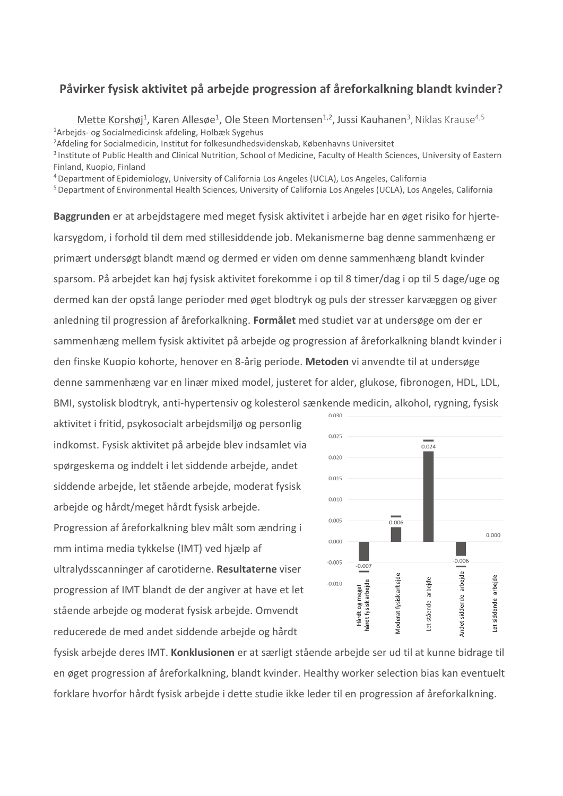#### Påvirker fysisk aktivitet på arbejde progression af åreforkalkning blandt kvinder?

Mette Korshøj<sup>1</sup>, Karen Allesøe<sup>1</sup>, Ole Steen Mortensen<sup>1,2</sup>, Jussi Kauhanen<sup>3</sup>, Niklas Krause<sup>4,5</sup> <sup>1</sup>Arbejds- og Socialmedicinsk afdeling, Holbæk Sygehus

<sup>2</sup>Afdeling for Socialmedicin, Institut for folkesundhedsvidenskab, Københavns Universitet

<sup>3</sup> Institute of Public Health and Clinical Nutrition, School of Medicine, Faculty of Health Sciences, University of Eastern Finland, Kuopio, Finland

<sup>4</sup>Department of Epidemiology, University of California Los Angeles (UCLA), Los Angeles, California

<sup>5</sup> Department of Environmental Health Sciences, University of California Los Angeles (UCLA), Los Angeles, California

Baggrunden er at arbejdstagere med meget fysisk aktivitet i arbejde har en øget risiko for hjertekarsygdom, i forhold til dem med stillesiddende job. Mekanismerne bag denne sammenhæng er primært undersøgt blandt mænd og dermed er viden om denne sammenhæng blandt kvinder sparsom. På arbejdet kan høj fysisk aktivitet forekomme i op til 8 timer/dag i op til 5 dage/uge og dermed kan der opstå lange perioder med øget blodtryk og puls der stresser karvæggen og giver anledning til progression af Âreforkalkning. **FormÂlet** med studiet var at unders¯ge om der er sammenhæng mellem fysisk aktivitet på arbejde og progression af åreforkalkning blandt kvinder i den finske Kuopio kohorte, henover en 8-årig periode. Metoden vi anvendte til at undersøge denne sammenhæng var en linær mixed model, justeret for alder, glukose, fibronogen, HDL, LDL, BMI, systolisk blodtryk, anti-hypertensiv og kolesterol sænkende medicin, alkohol, rygning, fysisk

aktivitet i fritid, psykosocialt arbejdsmiljø og personlig indkomst. Fysisk aktivitet på arbejde blev indsamlet via spørgeskema og inddelt i let siddende arbejde, andet siddende arbejde, let stående arbejde, moderat fysisk arbejde og hÂrdt/meget hÂrdt fysisk arbejde. Progression af åreforkalkning blev målt som ændring i mm intima media tykkelse (IMT) ved hjælp af ultralydsscanninger af carotiderne. **Resultaterne** viser progression af IMT blandt de der angiver at have et let stående arbejde og moderat fysisk arbejde. Omvendt reducerede de med andet siddende arbejde og hÂrdt



fysisk arbejde deres IMT. **Konklusionen** er at særligt stående arbejde ser ud til at kunne bidrage til en øget progression af åreforkalkning, blandt kvinder. Healthy worker selection bias kan eventuelt forklare hvorfor hÂrdt fysisk arbejde i dette studie ikke leder til en progression af Âreforkalkning.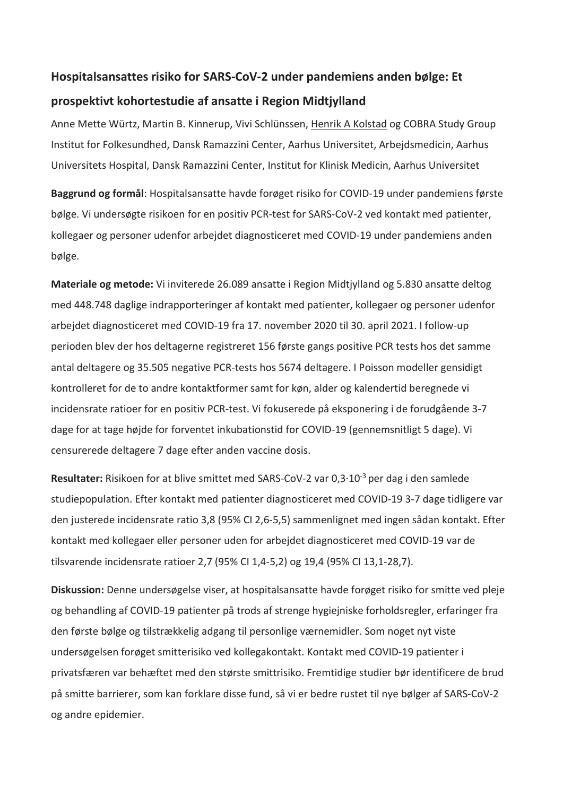### Hospitalsansattes risiko for SARS-CoV-2 under pandemiens anden bølge: Et

#### prospektivt kohortestudie af ansatte i Region Midtjylland

Anne Mette Würtz, Martin B. Kinnerup, Vivi Schlünssen, Henrik A Kolstad og COBRA Study Group Institut for Folkesundhed, Dansk Ramazzini Center, Aarhus Universitet, Arbejdsmedicin, Aarhus Universitets Hospital, Dansk Ramazzini Center, Institut for Klinisk Medicin, Aarhus Universitet

Baggrund og formål: Hospitalsansatte havde forøget risiko for COVID-19 under pandemiens første bølge. Vi undersøgte risikoen for en positiv PCR-test for SARS-CoV-2 ved kontakt med patienter, kollegaer og personer udenfor arbejdet diagnosticeret med COVID-19 under pandemiens anden bølge.

Materiale og metode: Vi inviterede 26.089 ansatte i Region Midtjylland og 5.830 ansatte deltog med 448.748 daglige indrapporteringer af kontakt med patienter, kollegaer og personer udenfor arbejdet diagnosticeret med COVID-19 fra 17. november 2020 til 30. april 2021. I follow-up perioden blev der hos deltagerne registreret 156 første gangs positive PCR tests hos det samme antal deltagere og 35.505 negative PCR-tests hos 5674 deltagere. I Poisson modeller gensidigt kontrolleret for de to andre kontaktformer samt for køn, alder og kalendertid beregnede vi incidensrate ratioer for en positiv PCR-test. Vi fokuserede på eksponering i de forudgående 3-7 dage for at tage højde for forventet inkubationstid for COVID-19 (gennemsnitligt 5 dage). Vi censurerede deltagere 7 dage efter anden vaccine dosis.

Resultater: Risikoen for at blive smittet med SARS-CoV-2 var 0,3·10<sup>-3</sup> per dag i den samlede studiepopulation. Efter kontakt med patienter diagnosticeret med COVID-19 3-7 dage tidligere var den justerede incidensrate ratio 3,8 (95% CI 2,6-5,5) sammenlignet med ingen sÂdan kontakt. Efter kontakt med kollegaer eller personer uden for arbejdet diagnosticeret med COVID-19 var de tilsvarende incidensrate ratioer 2,7 (95% CI 1,4-5,2) og 19,4 (95% CI 13,1-28,7).

Diskussion: Denne undersøgelse viser, at hospitalsansatte havde forøget risiko for smitte ved pleje og behandling af COVID-19 patienter på trods af strenge hygiejniske forholdsregler, erfaringer fra den første bølge og tilstrækkelig adgang til personlige værnemidler. Som noget nyt viste undersøgelsen forøget smitterisiko ved kollegakontakt. Kontakt med COVID-19 patienter i privatsfæren var behæftet med den største smittrisiko. Fremtidige studier bør identificere de brud på smitte barrierer, som kan forklare disse fund, så vi er bedre rustet til nye bølger af SARS-CoV-2 og andre epidemier.